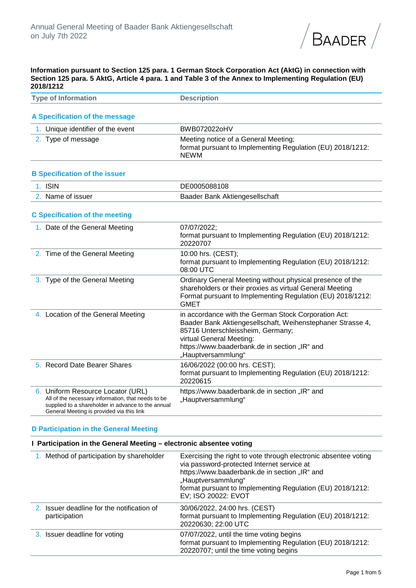

**Information pursuant to Section 125 para. 1 German Stock Corporation Act (AktG) in connection with Section 125 para. 5 AktG, Article 4 para. 1 and Table 3 of the Annex to Implementing Regulation (EU) 2018/1212**

| <b>Type of Information</b>                                                                                                                                                                 | <b>Description</b>                                                                                                                                                                                                                                         |
|--------------------------------------------------------------------------------------------------------------------------------------------------------------------------------------------|------------------------------------------------------------------------------------------------------------------------------------------------------------------------------------------------------------------------------------------------------------|
| A Specification of the message                                                                                                                                                             |                                                                                                                                                                                                                                                            |
| 1. Unique identifier of the event                                                                                                                                                          | BWB072022oHV                                                                                                                                                                                                                                               |
| 2. Type of message                                                                                                                                                                         | Meeting notice of a General Meeting;<br>format pursuant to Implementing Regulation (EU) 2018/1212:<br><b>NEWM</b>                                                                                                                                          |
| <b>B Specification of the issuer</b>                                                                                                                                                       |                                                                                                                                                                                                                                                            |
| 1. ISIN                                                                                                                                                                                    | DE0005088108                                                                                                                                                                                                                                               |
| 2. Name of issuer                                                                                                                                                                          | Baader Bank Aktiengesellschaft                                                                                                                                                                                                                             |
| <b>C Specification of the meeting</b>                                                                                                                                                      |                                                                                                                                                                                                                                                            |
| 1. Date of the General Meeting                                                                                                                                                             | 07/07/2022;<br>format pursuant to Implementing Regulation (EU) 2018/1212:<br>20220707                                                                                                                                                                      |
| 2. Time of the General Meeting                                                                                                                                                             | 10:00 hrs. (CEST);<br>format pursuant to Implementing Regulation (EU) 2018/1212:<br>08:00 UTC                                                                                                                                                              |
| 3. Type of the General Meeting                                                                                                                                                             | Ordinary General Meeting without physical presence of the<br>shareholders or their proxies as virtual General Meeting<br>Format pursuant to Implementing Regulation (EU) 2018/1212:<br><b>GMET</b>                                                         |
| 4. Location of the General Meeting                                                                                                                                                         | in accordance with the German Stock Corporation Act:<br>Baader Bank Aktiengesellschaft, Weihenstephaner Strasse 4,<br>85716 Unterschleissheim, Germany;<br>virtual General Meeting:<br>https://www.baaderbank.de in section "IR" and<br>"Hauptversammlung" |
| 5. Record Date Bearer Shares                                                                                                                                                               | 16/06/2022 (00:00 hrs. CEST);<br>format pursuant to Implementing Regulation (EU) 2018/1212:<br>20220615                                                                                                                                                    |
| 6. Uniform Resource Locator (URL)<br>All of the necessary information, that needs to be<br>supplied to a shareholder in advance to the annual<br>General Meeting is provided via this link | https://www.baaderbank.de in section "IR" and<br>"Hauptversammlung"                                                                                                                                                                                        |

## **D Participation in the General Meeting**

#### **I Participation in the General Meeting – electronic absentee voting**

| 1. Method of participation by shareholder                   | Exercising the right to vote through electronic absentee voting<br>via password-protected Internet service at<br>https://www.baaderbank.de in section "IR" and<br>"Hauptversammlung"<br>format pursuant to Implementing Regulation (EU) 2018/1212:<br>EV; ISO 20022: EVOT |
|-------------------------------------------------------------|---------------------------------------------------------------------------------------------------------------------------------------------------------------------------------------------------------------------------------------------------------------------------|
| 2. Issuer deadline for the notification of<br>participation | 30/06/2022, 24:00 hrs. (CEST)<br>format pursuant to Implementing Regulation (EU) 2018/1212:<br>20220630; 22:00 UTC                                                                                                                                                        |
| 3. Issuer deadline for voting                               | 07/07/2022, until the time voting begins<br>format pursuant to Implementing Regulation (EU) 2018/1212:<br>20220707; until the time voting begins                                                                                                                          |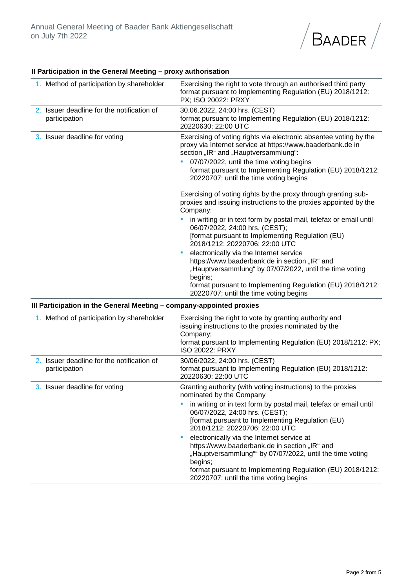

### **II Participation in the General Meeting – proxy authorisation**

| 1. Method of participation by shareholder                   | Exercising the right to vote through an authorised third party<br>format pursuant to Implementing Regulation (EU) 2018/1212:<br>PX; ISO 20022: PRXY                                                                                                                                                                              |
|-------------------------------------------------------------|----------------------------------------------------------------------------------------------------------------------------------------------------------------------------------------------------------------------------------------------------------------------------------------------------------------------------------|
| 2. Issuer deadline for the notification of<br>participation | 30.06.2022, 24:00 hrs. (CEST)<br>format pursuant to Implementing Regulation (EU) 2018/1212:<br>20220630; 22:00 UTC                                                                                                                                                                                                               |
| 3. Issuer deadline for voting                               | Exercising of voting rights via electronic absentee voting by the<br>proxy via Internet service at https://www.baaderbank.de in<br>section "IR" and "Hauptversammlung":<br>07/07/2022, until the time voting begins<br>٠<br>format pursuant to Implementing Regulation (EU) 2018/1212:<br>20220707; until the time voting begins |
|                                                             | Exercising of voting rights by the proxy through granting sub-<br>proxies and issuing instructions to the proxies appointed by the<br>Company:                                                                                                                                                                                   |
|                                                             | in writing or in text form by postal mail, telefax or email until<br>06/07/2022, 24:00 hrs. (CEST);<br>[format pursuant to Implementing Regulation (EU)<br>2018/1212: 20220706; 22:00 UTC                                                                                                                                        |
|                                                             | electronically via the Internet service<br>٠<br>https://www.baaderbank.de in section "IR" and<br>"Hauptversammlung" by 07/07/2022, until the time voting<br>begins;                                                                                                                                                              |
|                                                             | format pursuant to Implementing Regulation (EU) 2018/1212:<br>20220707; until the time voting begins                                                                                                                                                                                                                             |

## **III Participation in the General Meeting – company-appointed proxies**

| 1. Method of participation by shareholder                   | Exercising the right to vote by granting authority and<br>issuing instructions to the proxies nominated by the<br>Company;<br>format pursuant to Implementing Regulation (EU) 2018/1212: PX;<br>ISO 20022: PRXY                                                                                                                                                                                                                                                                                                                                                     |
|-------------------------------------------------------------|---------------------------------------------------------------------------------------------------------------------------------------------------------------------------------------------------------------------------------------------------------------------------------------------------------------------------------------------------------------------------------------------------------------------------------------------------------------------------------------------------------------------------------------------------------------------|
| 2. Issuer deadline for the notification of<br>participation | 30/06/2022, 24:00 hrs. (CEST)<br>format pursuant to Implementing Regulation (EU) 2018/1212:<br>20220630; 22:00 UTC                                                                                                                                                                                                                                                                                                                                                                                                                                                  |
| 3. Issuer deadline for voting                               | Granting authority (with voting instructions) to the proxies<br>nominated by the Company<br>in writing or in text form by postal mail, telefax or email until<br>06/07/2022, 24:00 hrs. (CEST);<br>[format pursuant to Implementing Regulation (EU)<br>2018/1212: 20220706; 22:00 UTC<br>electronically via the Internet service at<br>https://www.baaderbank.de in section "IR" and<br>"Hauptversammlung"" by 07/07/2022, until the time voting<br>begins;<br>format pursuant to Implementing Regulation (EU) 2018/1212:<br>20220707; until the time voting begins |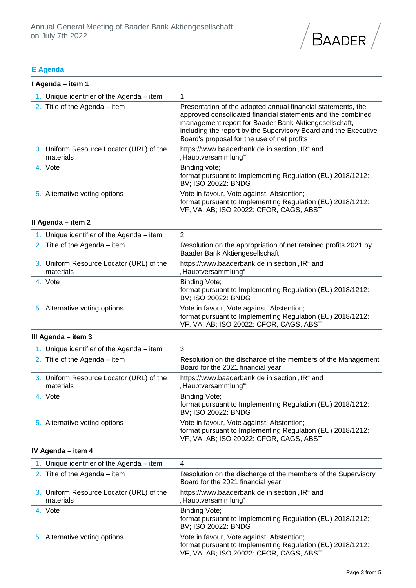

# **E Agenda**

| I Agenda – item 1                                     |                                                                                                                                                                                                                                                                                                        |
|-------------------------------------------------------|--------------------------------------------------------------------------------------------------------------------------------------------------------------------------------------------------------------------------------------------------------------------------------------------------------|
| 1. Unique identifier of the Agenda $-$ item           | 1                                                                                                                                                                                                                                                                                                      |
| 2. Title of the Agenda $-$ item                       | Presentation of the adopted annual financial statements, the<br>approved consolidated financial statements and the combined<br>management report for Baader Bank Aktiengesellschaft,<br>including the report by the Supervisory Board and the Executive<br>Board's proposal for the use of net profits |
| 3. Uniform Resource Locator (URL) of the<br>materials | https://www.baaderbank.de in section "IR" and<br>"Hauptversammlung""                                                                                                                                                                                                                                   |
| 4. Vote                                               | Binding vote;<br>format pursuant to Implementing Regulation (EU) 2018/1212:<br>BV; ISO 20022: BNDG                                                                                                                                                                                                     |
| 5. Alternative voting options                         | Vote in favour, Vote against, Abstention;<br>format pursuant to Implementing Regulation (EU) 2018/1212:<br>VF, VA, AB; ISO 20022: CFOR, CAGS, ABST                                                                                                                                                     |
| Il Agenda - item 2                                    |                                                                                                                                                                                                                                                                                                        |
| 1. Unique identifier of the Agenda $-$ item           | $\overline{2}$                                                                                                                                                                                                                                                                                         |
| 2. Title of the Agenda $-$ item                       | Resolution on the appropriation of net retained profits 2021 by<br>Baader Bank Aktiengesellschaft                                                                                                                                                                                                      |
| 3. Uniform Resource Locator (URL) of the<br>materials | https://www.baaderbank.de in section "IR" and<br>"Hauptversammlung"                                                                                                                                                                                                                                    |
| 4. Vote                                               | <b>Binding Vote;</b><br>format pursuant to Implementing Regulation (EU) 2018/1212:<br>BV; ISO 20022: BNDG                                                                                                                                                                                              |
| 5. Alternative voting options                         | Vote in favour, Vote against, Abstention;<br>format pursuant to Implementing Regulation (EU) 2018/1212:<br>VF, VA, AB; ISO 20022: CFOR, CAGS, ABST                                                                                                                                                     |
| III Agenda - item 3                                   |                                                                                                                                                                                                                                                                                                        |
| 1. Unique identifier of the Agenda $-$ item           | 3                                                                                                                                                                                                                                                                                                      |
| 2. Title of the Agenda $-$ item                       | Resolution on the discharge of the members of the Management<br>Board for the 2021 financial year                                                                                                                                                                                                      |
| 3. Uniform Resource Locator (URL) of the<br>materials | https://www.baaderbank.de in section "IR" and<br>"Hauptversammlung""                                                                                                                                                                                                                                   |
| 4. Vote                                               | <b>Binding Vote;</b><br>format pursuant to Implementing Regulation (EU) 2018/1212:<br>BV; ISO 20022: BNDG                                                                                                                                                                                              |
| 5. Alternative voting options                         | Vote in favour, Vote against, Abstention;<br>format pursuant to Implementing Regulation (EU) 2018/1212:<br>VF, VA, AB; ISO 20022: CFOR, CAGS, ABST                                                                                                                                                     |
| IV Agenda - item 4                                    |                                                                                                                                                                                                                                                                                                        |
| 1. Unique identifier of the Agenda $-$ item           | 4                                                                                                                                                                                                                                                                                                      |
| 2. Title of the Agenda $-$ item                       | Resolution on the discharge of the members of the Supervisory<br>Board for the 2021 financial year                                                                                                                                                                                                     |
| 3. Uniform Resource Locator (URL) of the<br>materials | https://www.baaderbank.de in section "IR" and<br>"Hauptversammlung"                                                                                                                                                                                                                                    |
| 4. Vote                                               | Binding Vote;<br>format pursuant to Implementing Regulation (EU) 2018/1212:<br>BV; ISO 20022: BNDG                                                                                                                                                                                                     |
| 5. Alternative voting options                         | Vote in favour, Vote against, Abstention;<br>format pursuant to Implementing Regulation (EU) 2018/1212:<br>VF, VA, AB; ISO 20022: CFOR, CAGS, ABST                                                                                                                                                     |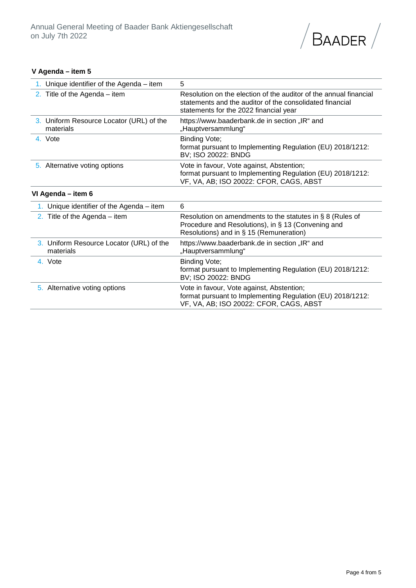

### **V Agenda – item 5**

| 1. Unique identifier of the Agenda $-$ item           | 5                                                                                                                                                                       |
|-------------------------------------------------------|-------------------------------------------------------------------------------------------------------------------------------------------------------------------------|
| 2. Title of the Agenda $-$ item                       | Resolution on the election of the auditor of the annual financial<br>statements and the auditor of the consolidated financial<br>statements for the 2022 financial year |
| 3. Uniform Resource Locator (URL) of the<br>materials | https://www.baaderbank.de in section "IR" and<br>"Hauptversammlung"                                                                                                     |
| 4. Vote                                               | Binding Vote;<br>format pursuant to Implementing Regulation (EU) 2018/1212:<br>BV; ISO 20022: BNDG                                                                      |
| 5. Alternative voting options                         | Vote in favour, Vote against, Abstention;<br>format pursuant to Implementing Regulation (EU) 2018/1212:<br>VF, VA, AB; ISO 20022: CFOR, CAGS, ABST                      |
| VI Agenda - item 6                                    |                                                                                                                                                                         |
| 1. Unique identifier of the Agenda $-$ item           | 6                                                                                                                                                                       |
| 2. Title of the Agenda $-$ item                       | Resolution on amendments to the statutes in $\S$ 8 (Rules of<br>Procedure and Resolutions), in § 13 (Convening and<br>Resolutions) and in § 15 (Remuneration)           |
| 3. Uniform Resource Locator (URL) of the<br>materials | https://www.baaderbank.de in section "IR" and<br>"Hauptversammlung"                                                                                                     |
| 4. Vote                                               | Binding Vote;<br>format pursuant to Implementing Regulation (EU) 2018/1212:<br>BV; ISO 20022: BNDG                                                                      |
| 5. Alternative voting options                         | Vote in favour, Vote against, Abstention;                                                                                                                               |

format pursuant to Implementing Regulation (EU) 2018/1212:

VF, VA, AB; ISO 20022: CFOR, CAGS, ABST